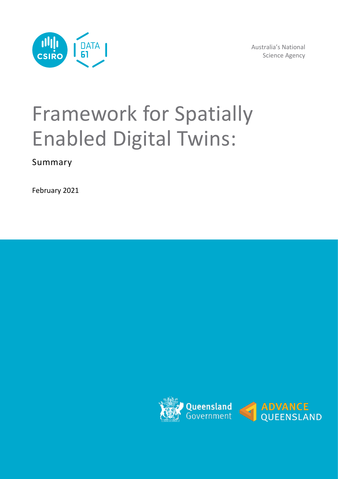

Australia's National Science Agency

# Framework for Spatially Enabled Digital Twins:

Summary

February 2021

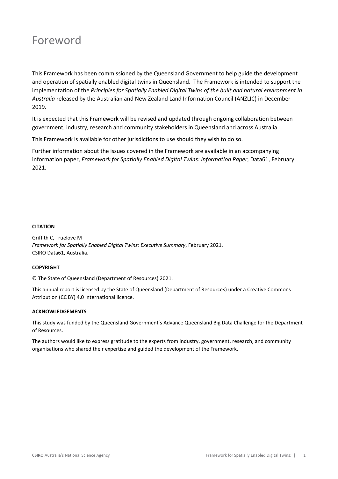# Foreword

This Framework has been commissioned by the Queensland Government to help guide the development and operation of spatially enabled digital twins in Queensland. The Framework is intended to support the implementation of the *Principles for Spatially Enabled Digital Twins of the built and natural environment in Australia* released by the Australian and New Zealand Land Information Council (ANZLIC) in December 2019.

It is expected that this Framework will be revised and updated through ongoing collaboration between government, industry, research and community stakeholders in Queensland and across Australia.

This Framework is available for other jurisdictions to use should they wish to do so.

Further information about the issues covered in the Framework are available in an accompanying information paper, *Framework for Spatially Enabled Digital Twins: Information Paper*, Data61, February 2021.

#### **CITATION**

Griffith C, Truelove M *Framework for Spatially Enabled Digital Twins: Executive Summary*, February 2021. CSIRO Data61, Australia.

#### **COPYRIGHT**

© The State of Queensland (Department of Resources) 2021.

This annual report is licensed by the State of Queensland (Department of Resources) under a Creative Commons Attribution (CC BY) 4.0 International licence.

#### **ACKNOWLEDGEMENTS**

This study was funded by the Queensland Government's Advance Queensland Big Data Challenge for the Department of Resources.

The authors would like to express gratitude to the experts from industry, government, research, and community organisations who shared their expertise and guided the development of the Framework.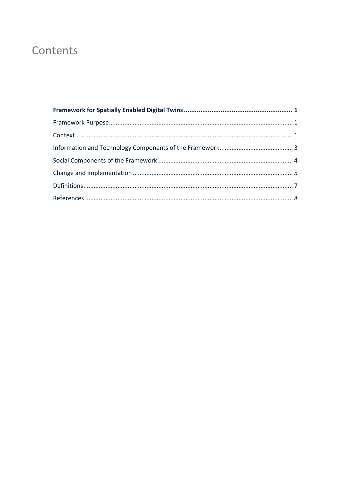# Contents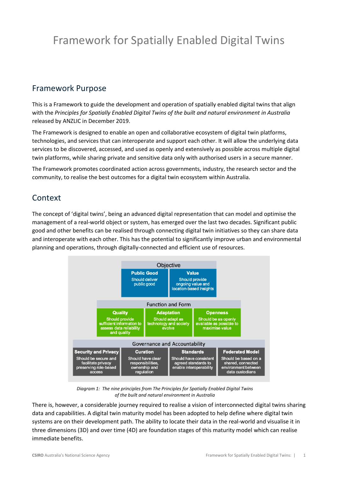# <span id="page-3-0"></span>Framework for Spatially Enabled Digital Twins

### <span id="page-3-1"></span>Framework Purpose

This is a Framework to guide the development and operation of spatially enabled digital twins that align with the *Principles for Spatially Enabled Digital Twins of the built and natural environment in Australia*  released by ANZLIC in December 2019.

The Framework is designed to enable an open and collaborative ecosystem of digital twin platforms, technologies, and services that can interoperate and support each other. It will allow the underlying data services to be discovered, accessed, and used as openly and extensively as possible across multiple digital twin platforms, while sharing private and sensitive data only with authorised users in a secure manner.

The Framework promotes coordinated action across governments, industry, the research sector and the community, to realise the best outcomes for a digital twin ecosystem within Australia.

### <span id="page-3-2"></span>Context

The concept of 'digital twins', being an advanced digital representation that can model and optimise the management of a real-world object or system, has emerged over the last two decades. Significant public good and other benefits can be realised through connecting digital twin initiatives so they can share data and interoperate with each other. This has the potential to significantly improve urban and environmental planning and operations, through digitally-connected and efficient use of resources.



*Diagram 1: The nine principles from The Principles for Spatially Enabled Digital Twins of the built and natural environment in Australia*

There is, however, a considerable journey required to realise a vision of interconnected digital twins sharing data and capabilities. A digital twin maturity model has been adopted to help define where digital twin systems are on their development path. The ability to locate their data in the real-world and visualise it in three dimensions (3D) and over time (4D) are foundation stages of this maturity model which can realise immediate benefits.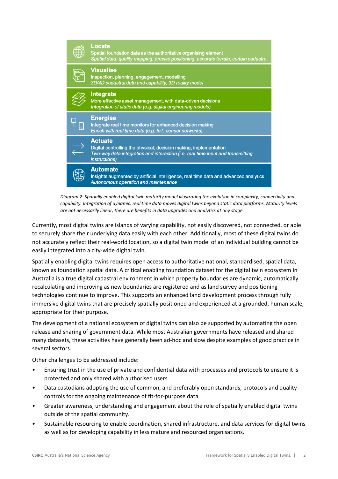

*Diagram 2: Spatially enabled digital twin maturity model illustrating the evolution in complexity, connectivity and capability. Integration of dynamic, real time data moves digital twins beyond static data platforms. Maturity levels are not necessarily linear; there are benefits in data upgrades and analytics at any stage.*

Currently, most digital twins are islands of varying capability, not easily discovered, not connected, or able to securely share their underlying data easily with each other. Additionally, most of these digital twins do not accurately reflect their real-world location, so a digital twin model of an individual building cannot be easily integrated into a city-wide digital twin.

Spatially enabling digital twins requires open access to authoritative national, standardised, spatial data, known as foundation spatial data. A critical enabling foundation dataset for the digital twin ecosystem in Australia is a true digital cadastral environment in which property boundaries are dynamic, automatically recalculating and improving as new boundaries are registered and as land survey and positioning technologies continue to improve. This supports an enhanced land development process through fully immersive digital twins that are precisely spatially positioned and experienced at a grounded, human scale, appropriate for their purpose.

The development of a national ecosystem of digital twins can also be supported by automating the open release and sharing of government data. While most Australian governments have released and shared many datasets, these activities have generally been ad-hoc and slow despite examples of good practice in several sectors.

Other challenges to be addressed include:

- Ensuring trust in the use of private and confidential data with processes and protocols to ensure it is protected and only shared with authorised users
- Data custodians adopting the use of common, and preferably open standards, protocols and quality controls for the ongoing maintenance of fit-for-purpose data
- Greater awareness, understanding and engagement about the role of spatially enabled digital twins outside of the spatial community.
- Sustainable resourcing to enable coordination, shared infrastructure, and data services for digital twins as well as for developing capability in less mature and resourced organisations.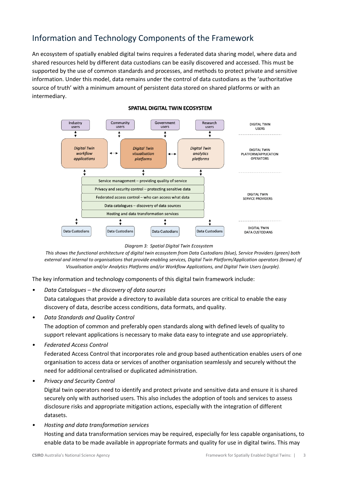# <span id="page-5-0"></span>Information and Technology Components of the Framework

An ecosystem of spatially enabled digital twins requires a federated data sharing model, where data and shared resources held by different data custodians can be easily discovered and accessed. This must be supported by the use of common standards and processes, and methods to protect private and sensitive information. Under this model, data remains under the control of data custodians as the 'authoritative source of truth' with a minimum amount of persistent data stored on shared platforms or with an intermediary.



#### SPATIAL DIGITAL TWIN ECOSYSTEM

*Diagram 3: Spatial Digital Twin Ecosystem*

*This shows the functional architecture of digital twin ecosystem from Data Custodians (blue), Service Providers (green) both external and internal to organisations that provide enabling services, Digital Twin Platform/Application operators (brown) of Visualisation and/or Analytics Platforms and/or Workflow Applications, and Digital Twin Users (purple).*

The key information and technology components of this digital twin framework include:

*• Data Catalogues – the discovery of data sources*

Data catalogues that provide a directory to available data sources are critical to enable the easy discovery of data, describe access conditions, data formats, and quality.

*• Data Standards and Quality Control*

The adoption of common and preferably open standards along with defined levels of quality to support relevant applications is necessary to make data easy to integrate and use appropriately.

*• Federated Access Control* 

Federated Access Control that incorporates role and group based authentication enables users of one organisation to access data or services of another organisation seamlessly and securely without the need for additional centralised or duplicated administration.

*• Privacy and Security Control*

Digital twin operators need to identify and protect private and sensitive data and ensure it is shared securely only with authorised users. This also includes the adoption of tools and services to assess disclosure risks and appropriate mitigation actions, especially with the integration of different datasets.

*• Hosting and data transformation services* 

Hosting and data transformation services may be required, especially for less capable organisations, to enable data to be made available in appropriate formats and quality for use in digital twins. This may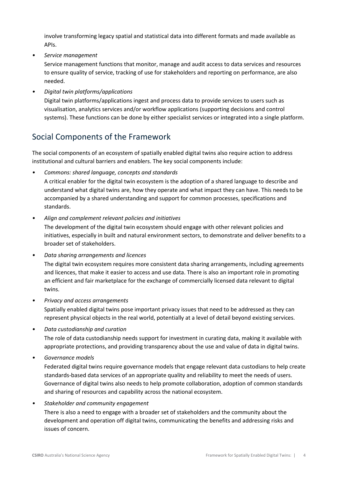involve transforming legacy spatial and statistical data into different formats and made available as APIs.

*• Service management* 

Service management functions that monitor, manage and audit access to data services and resources to ensure quality of service, tracking of use for stakeholders and reporting on performance, are also needed.

*• Digital twin platforms/applications*

Digital twin platforms/applications ingest and process data to provide services to users such as visualisation, analytics services and/or workflow applications (supporting decisions and control systems). These functions can be done by either specialist services or integrated into a single platform.

## <span id="page-6-0"></span>Social Components of the Framework

The social components of an ecosystem of spatially enabled digital twins also require action to address institutional and cultural barriers and enablers. The key social components include:

*• Commons: shared language, concepts and standards*

A critical enabler for the digital twin ecosystem is the adoption of a shared language to describe and understand what digital twins are, how they operate and what impact they can have. This needs to be accompanied by a shared understanding and support for common processes, specifications and standards.

*• Align and complement relevant policies and initiatives*

The development of the digital twin ecosystem should engage with other relevant policies and initiatives, especially in built and natural environment sectors, to demonstrate and deliver benefits to a broader set of stakeholders.

- *• Data sharing arrangements and licences* The digital twin ecosystem requires more consistent data sharing arrangements, including agreements and licences, that make it easier to access and use data. There is also an important role in promoting an efficient and fair marketplace for the exchange of commercially licensed data relevant to digital twins.
- *• Privacy and access arrangements* Spatially enabled digital twins pose important privacy issues that need to be addressed as they can represent physical objects in the real world, potentially at a level of detail beyond existing services.
- *• Data custodianship and curation*

The role of data custodianship needs support for investment in curating data, making it available with appropriate protections, and providing transparency about the use and value of data in digital twins.

*• Governance models*

Federated digital twins require governance models that engage relevant data custodians to help create standards-based data services of an appropriate quality and reliability to meet the needs of users. Governance of digital twins also needs to help promote collaboration, adoption of common standards and sharing of resources and capability across the national ecosystem.

*• Stakeholder and community engagement*

There is also a need to engage with a broader set of stakeholders and the community about the development and operation off digital twins, communicating the benefits and addressing risks and issues of concern.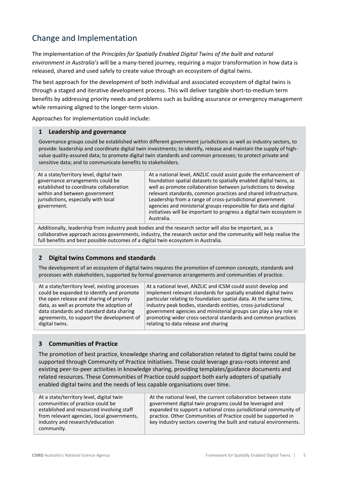# <span id="page-7-0"></span>Change and Implementation

The implementation of the *Principles for Spatially Enabled Digital Twins of the built and natural environment in Australia's* will be a many-tiered journey, requiring a major transformation in how data is released, shared and used safely to create value through an ecosystem of digital twins.

The best approach for the development of both individual and associated ecosystem of digital twins is through a staged and iterative development process. This will deliver tangible short-to-medium term benefits by addressing priority needs and problems such as building assurance or emergency management while remaining aligned to the longer-term vision.

Approaches for implementation could include:

#### **1 Leadership and governance**

Governance groups could be established within different government jurisdictions as well as industry sectors, to provide: leadership and coordinate digital twin investments; to identify, release and maintain the supply of highvalue quality-assured data; to promote digital twin standards and common processes; to protect private and sensitive data; and to communicate benefits to stakeholders.

| At a state/territory level, digital twin<br>governance arrangements could be<br>established to coordinate collaboration<br>within and between government<br>jurisdictions, especially with local<br>government. | At a national level, ANZLIC could assist guide the enhancement of<br>foundation spatial datasets to spatially enabled digital twins, as<br>well as promote collaboration between jurisdictions to develop<br>relevant standards, common practices and shared infrastructure.<br>Leadership from a range of cross-jurisdictional government<br>agencies and ministerial groups responsible for data and digital<br>initiatives will be important to progress a digital twin ecosystem in<br>Australia. |
|-----------------------------------------------------------------------------------------------------------------------------------------------------------------------------------------------------------------|-------------------------------------------------------------------------------------------------------------------------------------------------------------------------------------------------------------------------------------------------------------------------------------------------------------------------------------------------------------------------------------------------------------------------------------------------------------------------------------------------------|
|-----------------------------------------------------------------------------------------------------------------------------------------------------------------------------------------------------------------|-------------------------------------------------------------------------------------------------------------------------------------------------------------------------------------------------------------------------------------------------------------------------------------------------------------------------------------------------------------------------------------------------------------------------------------------------------------------------------------------------------|

Additionally, leadership from industry peak bodies and the research sector will also be important, as a collaborative approach across governments, industry, the research sector and the community will help realise the full benefits and best possible outcomes of a digital twin ecosystem in Australia.

#### **2 Digital twins Commons and standards**

The development of an ecosystem of digital twins requires the promotion of common concepts, standards and processes with stakeholders, supported by formal governance arrangements and communities of practice.

| At a state/territory level, existing processes | At a national level, ANZLIC and ICSM could assist develop and     |
|------------------------------------------------|-------------------------------------------------------------------|
| could be expanded to identify and promote      | implement relevant standards for spatially enabled digital twins  |
| the open release and sharing of priority       | particular relating to foundation spatial data. At the same time, |
| data, as well as promote the adoption of       | industry peak bodies, standards entities, cross-jurisdictional    |
| data standards and standard data sharing       | government agencies and ministerial groups can play a key role in |
| agreements, to support the development of      | promoting wider cross-sectoral standards and common practices     |
| digital twins.                                 | relating to data release and sharing                              |

#### **3 Communities of Practice**

The promotion of best practice, knowledge sharing and collaboration related to digital twins could be supported through Community of Practice initiatives. These could leverage grass-roots interest and existing peer-to-peer activities in knowledge sharing, providing templates/guidance documents and related resources. These Communities of Practice could support both early adopters of spatially enabled digital twins and the needs of less capable organisations over time.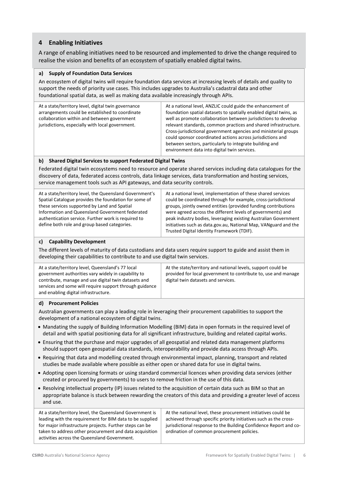#### **4 Enabling Initiatives**

A range of enabling initiatives need to be resourced and implemented to drive the change required to realise the vision and benefits of an ecosystem of spatially enabled digital twins.

#### **a) Supply of Foundation Data Services**

An ecosystem of digital twins will require foundation data services at increasing levels of details and quality to support the needs of priority use cases. This includes upgrades to Australia's cadastral data and other foundational spatial data, as well as making data available increasingly through APIs.

| At a state/territory level, digital twin governance<br>arrangements could be established to coordinate<br>collaboration within and between government<br>jurisdictions, especially with local government. | At a national level, ANZLIC could guide the enhancement of<br>foundation spatial datasets to spatially enabled digital twins, as<br>well as promote collaboration between jurisdictions to develop<br>relevant standards, common practices and shared infrastructure.<br>Cross-jurisdictional government agencies and ministerial groups<br>could sponsor coordinated actions across jurisdictions and<br>between sectors, particularly to integrate building and<br>environment data into digital twin services. |
|-----------------------------------------------------------------------------------------------------------------------------------------------------------------------------------------------------------|-------------------------------------------------------------------------------------------------------------------------------------------------------------------------------------------------------------------------------------------------------------------------------------------------------------------------------------------------------------------------------------------------------------------------------------------------------------------------------------------------------------------|
|-----------------------------------------------------------------------------------------------------------------------------------------------------------------------------------------------------------|-------------------------------------------------------------------------------------------------------------------------------------------------------------------------------------------------------------------------------------------------------------------------------------------------------------------------------------------------------------------------------------------------------------------------------------------------------------------------------------------------------------------|

#### **b) Shared Digital Services to support Federated Digital Twins**

Federated digital twin ecosystems need to resource and operate shared services including data catalogues for the discovery of data, federated access controls, data linkage services, data transformation and hosting services, service management tools such as API gateways, and data security controls.

| At a state/territory level, the Queensland Government's | At a national level, implementation of these shared services    |
|---------------------------------------------------------|-----------------------------------------------------------------|
| Spatial Catalogue provides the foundation for some of   | could be coordinated through for example, cross-jurisdictional  |
| these services supported by Land and Spatial            | groups, jointly owned entities (provided funding contributions  |
| Information and Queensland Government federated         | were agreed across the different levels of governments) and     |
| authentication service. Further work is required to     | peak industry bodies, leveraging existing Australian Government |
| define both role and group based categories.            | initiatives such as data.gov.au, National Map, VANguard and the |
|                                                         | Trusted Digital Identity Framework (TDIF).                      |

#### **c) Capability Development**

The different levels of maturity of data custodians and data users require support to guide and assist them in developing their capabilities to contribute to and use digital twin services.

| At a state/territory level, Queensland's 77 local<br>government authorities vary widely in capability to<br>contribute, manage and use digital twin datasets and<br>services and some will require support through guidance | At the state/territory and national levels, support could be<br>provided for local government to contribute to, use and manage<br>digital twin datasets and services. |
|-----------------------------------------------------------------------------------------------------------------------------------------------------------------------------------------------------------------------------|-----------------------------------------------------------------------------------------------------------------------------------------------------------------------|
| and enabling digital infrastructure.                                                                                                                                                                                        |                                                                                                                                                                       |

#### **d) Procurement Policies**

Australian governments can play a leading role in leveraging their procurement capabilities to support the development of a national ecosystem of digital twins.

- Mandating the supply of Building Information Modelling (BIM) data in open formats in the required level of detail and with spatial positioning data for all significant infrastructure, building and related capital works.
- Ensuring that the purchase and major upgrades of all geospatial and related data management platforms should support open geospatial data standards, interoperability and provide data access through APIs.
- Requiring that data and modelling created through environmental impact, planning, transport and related studies be made available where possible as either open or shared data for use in digital twins.
- Adopting open licensing formats or using standard commercial licences when providing data services (either created or procured by governments) to users to remove friction in the use of this data.
- Resolving intellectual property (IP) issues related to the acquisition of certain data such as BIM so that an appropriate balance is stuck between rewarding the creators of this data and providing a greater level of access and use.

| At a state/territory level, the Queensland Government is<br>leading with the requirement for BIM data to be supplied | At the national level, these procurement initiatives could be<br>achieved through specific priority initiatives such as the cross- |
|----------------------------------------------------------------------------------------------------------------------|------------------------------------------------------------------------------------------------------------------------------------|
| for major infrastructure projects. Further steps can be                                                              | jurisdictional response to the Building Confidence Report and co-                                                                  |
| taken to address other procurement and data acquisition                                                              | ordination of common procurement policies.                                                                                         |
| activities across the Queensland Government.                                                                         |                                                                                                                                    |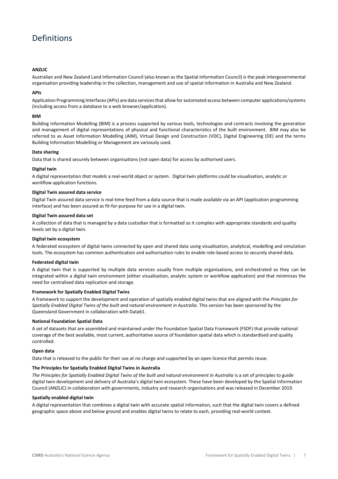# <span id="page-9-0"></span>Definitions

#### **ANZLIC**

Australian and New Zealand Land Information Council (also known as the Spatial Information Council) is the peak intergovernmental organisation providing leadership in the collection, management and use of spatial information in Australia and New Zealand.

#### **APIs**

Application Programming Interfaces(APIs) are data servicesthat allow for automated access between computer applications/systems (including access from a database to a web browser/application).

#### **BIM**

Building Information Modelling (BIM) is a process supported by various tools, technologies and contracts involving the generation and management of digital representations of physical and functional characteristics of the built environment. BIM may also be referred to as Asset Information Modelling (AIM), Virtual Design and Construction (VDC), Digital Engineering (DE) and the terms Building Information Modelling or Management are variously used.

#### **Data sharing**

Data that is shared securely between organisations (not open data) for access by authorised users.

#### **Digital twin**

A digital representation *that models* a real-world object or system. Digital twin platforms could be visualisation, analytic or workflow application functions.

#### **Digital Twin assured data service**

Digital Twin assured data service is real-time feed from a data source that is made available via an API (application programming interface) and has been assured as fit-for-purpose for use in a digital twin.

#### **Digital Twin assured data set**

A collection of data that is managed by a data custodian that is formatted so it complies with appropriate standards and quality levels set by a digital twin.

#### **Digital twin ecosystem**

A federated ecosystem of digital twins connected by open and shared data using visualisation, analytical, modelling and simulation tools. The ecosystem has common authentication and authorisation rules to enable role-based access to securely shared data*.*

#### **Federated digital twin**

A digital twin that is supported by multiple data services usually from multiple organisations, and orchestrated so they can be integrated within a digital twin environment (either visualisation, analytic system or workflow application) and that minimises the need for centralised data replication and storage.

#### **Framework for Spatially Enabled Digital Twins**

A framework to support the development and operation of spatially enabled digital twins that are aligned with the *Principles for Spatially Enabled Digital Twins of the built and natural environment in Australia*. This version has been sponsored by the Queensland Government in collaboration with Data61.

#### **National Foundation Spatial Data**

A set of datasets that are assembled and maintained under the Foundation Spatial Data Framework (FSDF) that provide national coverage of the best available, most current, authoritative source of foundation spatial data which is standardised and quality controlled.

#### **Open data**

Data that is released to the public for their use at no charge and supported by an open licence that permits reuse.

#### **The Principles for Spatially Enabled Digital Twins in Australia**

*The Principles for Spatially Enabled Digital Twins of the built and natural environment in Australia* is a set of principles to guide digital twin development and delivery of Australia's digital twin ecosystem. These have been developed by the Spatial Information Council (ANZLIC) in collaboration with governments, industry and research organisations and was released in December 2019.

#### **Spatially enabled digital twin**

A digital representation that combines a digital twin with accurate spatial information, such that the digital twin covers a defined geographic space above and below ground and enables digital twins to relate to each, providing real-world context.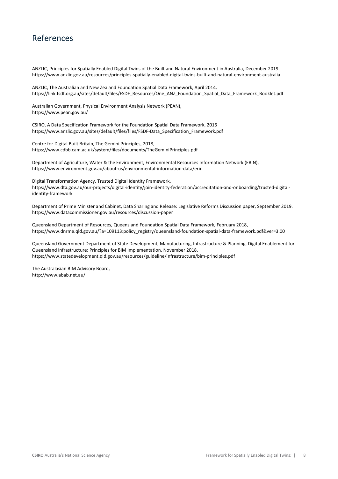### <span id="page-10-0"></span>References

ANZLIC, Principles for Spatially Enabled Digital Twins of the Built and Natural Environment in Australia, December 2019. https://www.anzlic.gov.au/resources/principles-spatially-enabled-digital-twins-built-and-natural-environment-australia

ANZLIC, The Australian and New Zealand Foundation Spatial Data Framework, April 2014. [https://link.fsdf.org.au/sites/default/files/FSDF\\_Resources/One\\_ANZ\\_Foundation\\_Spatial\\_Data\\_Framework\\_Booklet.pdf](https://link.fsdf.org.au/sites/default/files/FSDF_Resources/One_ANZ_Foundation_Spatial_Data_Framework_Booklet.pdf)

Australian Government, Physical Environment Analysis Network (PEAN), https://www.pean.gov.au/

CSIRO, A Data Specification Framework for the Foundation Spatial Data Framework, 2015 https://www.anzlic.gov.au/sites/default/files/files/FSDF-Data\_Specification\_Framework.pdf

Centre for Digital Built Britain, The Gemini Principles, 2018, https://www.cdbb.cam.ac.uk/system/files/documents/TheGeminiPrinciples.pdf

Department of Agriculture, Water & the Environment, Environmental Resources Information Network (ERIN), https://www.environment.gov.au/about-us/environmental-information-data/erin

Digital Transformation Agency, Trusted Digital Identity Framework, https://www.dta.gov.au/our-projects/digital-identity/join-identity-federation/accreditation-and-onboarding/trusted-digitalidentity-framework

Department of Prime Minister and Cabinet, Data Sharing and Release: Legislative Reforms Discussion paper, September 2019. https://www.datacommissioner.gov.au/resources/discussion-paper

Queensland Department of Resources, Queensland Foundation Spatial Data Framework, February 2018, https://www.dnrme.qld.gov.au/?a=109113:policy\_registry/queensland-foundation-spatial-data-framework.pdf&ver=3.00

Queensland Government Department of State Development, Manufacturing, Infrastructure & Planning, Digital Enablement for Queensland Infrastructure: Principles for BIM Implementation, November 2018, https://www.statedevelopment.qld.gov.au/resources/guideline/infrastructure/bim-principles.pdf

The Australasian BIM Advisory Board, http://www.abab.net.au/